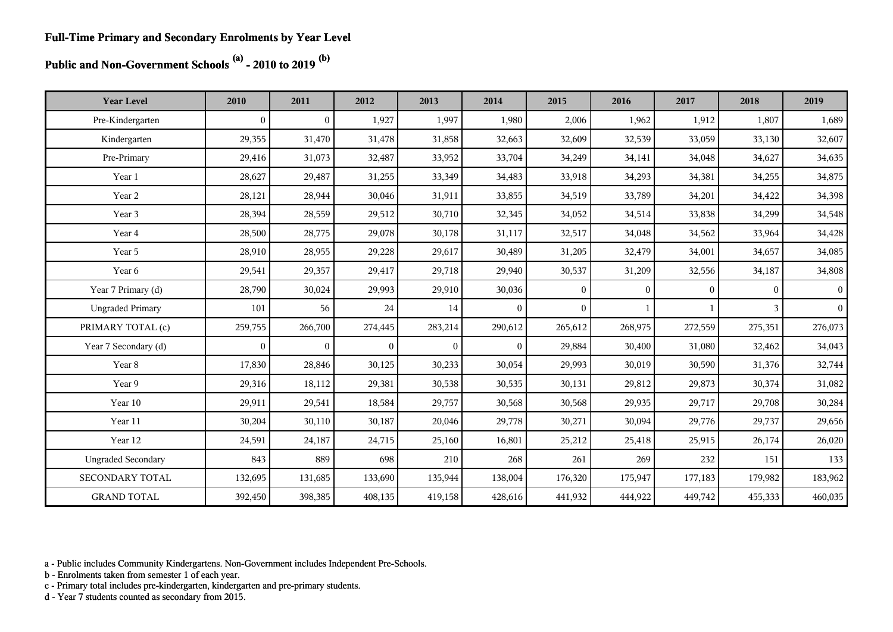#### **Public and Non-Government Schools (a) - 2010 to 2019 (b)**

| <b>Year Level</b>         | 2010             | 2011           | 2012           | 2013           | 2014           | 2015         | 2016         | 2017         | 2018     | 2019           |
|---------------------------|------------------|----------------|----------------|----------------|----------------|--------------|--------------|--------------|----------|----------------|
| Pre-Kindergarten          | $\boldsymbol{0}$ | $\mathbf{0}$   | 1,927          | 1,997          | 1,980          | 2,006        | 1,962        | 1,912        | 1,807    | 1,689          |
| Kindergarten              | 29,355           | 31,470         | 31,478         | 31,858         | 32,663         | 32,609       | 32,539       | 33,059       | 33,130   | 32,607         |
| Pre-Primary               | 29,416           | 31,073         | 32,487         | 33,952         | 33,704         | 34,249       | 34,141       | 34,048       | 34,627   | 34,635         |
| Year 1                    | 28,627           | 29,487         | 31,255         | 33,349         | 34,483         | 33,918       | 34,293       | 34,381       | 34,255   | 34,875         |
| Year 2                    | 28,121           | 28,944         | 30,046         | 31,911         | 33,855         | 34,519       | 33,789       | 34,201       | 34,422   | 34,398         |
| Year 3                    | 28,394           | 28,559         | 29,512         | 30,710         | 32,345         | 34,052       | 34,514       | 33,838       | 34,299   | 34,548         |
| Year 4                    | 28,500           | 28,775         | 29,078         | 30,178         | 31,117         | 32,517       | 34,048       | 34,562       | 33,964   | 34,428         |
| Year 5                    | 28,910           | 28,955         | 29,228         | 29,617         | 30,489         | 31,205       | 32,479       | 34,001       | 34,657   | 34,085         |
| Year 6                    | 29,541           | 29,357         | 29,417         | 29,718         | 29,940         | 30,537       | 31,209       | 32,556       | 34,187   | 34,808         |
| Year 7 Primary (d)        | 28,790           | 30,024         | 29,993         | 29,910         | 30,036         | $\mathbf{0}$ | $\mathbf{0}$ | $\mathbf{0}$ | $\Omega$ | $\vert$ 0      |
| <b>Ungraded Primary</b>   | 101              | 56             | 24             | 14             | $\theta$       | $\theta$     |              |              | 3        | $\overline{0}$ |
| PRIMARY TOTAL (c)         | 259,755          | 266,700        | 274,445        | 283,214        | 290,612        | 265,612      | 268,975      | 272,559      | 275,351  | 276,073        |
| Year 7 Secondary (d)      | $\mathbf{0}$     | $\overline{0}$ | $\overline{0}$ | $\overline{0}$ | $\overline{0}$ | 29,884       | 30,400       | 31,080       | 32,462   | 34,043         |
| Year 8                    | 17,830           | 28,846         | 30,125         | 30,233         | 30,054         | 29,993       | 30,019       | 30,590       | 31,376   | 32,744         |
| Year 9                    | 29,316           | 18,112         | 29,381         | 30,538         | 30,535         | 30,131       | 29,812       | 29,873       | 30,374   | 31,082         |
| Year 10                   | 29,911           | 29,541         | 18,584         | 29,757         | 30,568         | 30,568       | 29,935       | 29,717       | 29,708   | 30,284         |
| Year 11                   | 30,204           | 30,110         | 30,187         | 20,046         | 29,778         | 30,271       | 30,094       | 29,776       | 29,737   | 29,656         |
| Year 12                   | 24,591           | 24,187         | 24,715         | 25,160         | 16,801         | 25,212       | 25,418       | 25,915       | 26,174   | 26,020         |
| <b>Ungraded Secondary</b> | 843              | 889            | 698            | 210            | 268            | 261          | 269          | 232          | 151      | 133            |
| SECONDARY TOTAL           | 132,695          | 131,685        | 133,690        | 135,944        | 138,004        | 176,320      | 175,947      | 177,183      | 179,982  | 183,962        |
| <b>GRAND TOTAL</b>        | 392,450          | 398,385        | 408,135        | 419,158        | 428,616        | 441,932      | 444,922      | 449,742      | 455,333  | 460,035        |

a - Public includes Community Kindergartens. Non-Government includes Independent Pre-Schools.

b - Enrolments taken from semester 1 of each year.

c - Primary total includes pre-kindergarten, kindergarten and pre-primary students.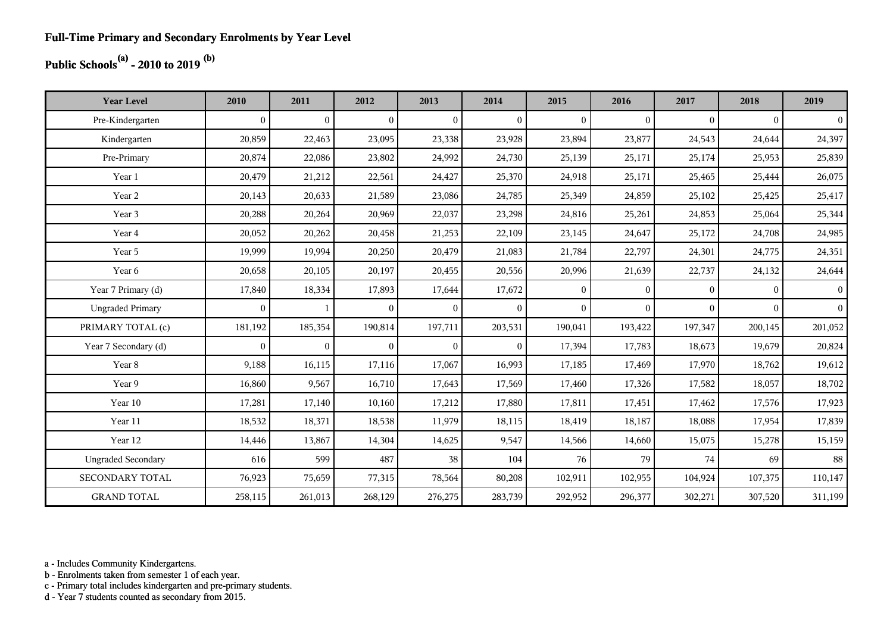## **Public Schools(a) - 2010 to 2019 (b)**

| <b>Year Level</b>         | 2010         | 2011           | 2012           | 2013           | 2014           | 2015           | 2016         | 2017         | 2018         | 2019           |
|---------------------------|--------------|----------------|----------------|----------------|----------------|----------------|--------------|--------------|--------------|----------------|
| Pre-Kindergarten          | $\mathbf{0}$ | $\overline{0}$ | $\overline{0}$ | $\overline{0}$ | $\overline{0}$ | $\mathbf{0}$   | $\mathbf{0}$ | $\mathbf{0}$ | $\theta$     | $\overline{0}$ |
| Kindergarten              | 20,859       | 22,463         | 23,095         | 23,338         | 23,928         | 23,894         | 23,877       | 24,543       | 24,644       | 24,397         |
| Pre-Primary               | 20,874       | 22,086         | 23,802         | 24,992         | 24,730         | 25,139         | 25,171       | 25,174       | 25,953       | 25,839         |
| Year 1                    | 20,479       | 21,212         | 22,561         | 24,427         | 25,370         | 24,918         | 25,171       | 25,465       | 25,444       | 26,075         |
| Year 2                    | 20,143       | 20,633         | 21,589         | 23,086         | 24,785         | 25,349         | 24,859       | 25,102       | 25,425       | 25,417         |
| Year 3                    | 20,288       | 20,264         | 20,969         | 22,037         | 23,298         | 24,816         | 25,261       | 24,853       | 25,064       | 25,344         |
| Year 4                    | 20,052       | 20,262         | 20,458         | 21,253         | 22,109         | 23,145         | 24,647       | 25,172       | 24,708       | 24,985         |
| Year 5                    | 19,999       | 19,994         | 20,250         | 20,479         | 21,083         | 21,784         | 22,797       | 24,301       | 24,775       | 24,351         |
| Year 6                    | 20,658       | 20,105         | 20,197         | 20,455         | 20,556         | 20,996         | 21,639       | 22,737       | 24,132       | 24,644         |
| Year 7 Primary (d)        | 17,840       | 18,334         | 17,893         | 17,644         | 17,672         | $\overline{0}$ | $\mathbf{0}$ | $\Omega$     | $\Omega$     | $\vert$ 0      |
| <b>Ungraded Primary</b>   | $\mathbf{0}$ |                | $\overline{0}$ | $\overline{0}$ | $\overline{0}$ | $\overline{0}$ | $\mathbf{0}$ | $\mathbf{0}$ | $\mathbf{0}$ | $\vert$ 0      |
| PRIMARY TOTAL (c)         | 181,192      | 185,354        | 190,814        | 197,711        | 203,531        | 190,041        | 193,422      | 197,347      | 200,145      | 201,052        |
| Year 7 Secondary (d)      | $\mathbf{0}$ | $\overline{0}$ | $\overline{0}$ | $\overline{0}$ | $\overline{0}$ | 17,394         | 17,783       | 18,673       | 19,679       | 20,824         |
| Year 8                    | 9,188        | 16,115         | 17,116         | 17,067         | 16,993         | 17,185         | 17,469       | 17,970       | 18,762       | 19,612         |
| Year 9                    | 16,860       | 9,567          | 16,710         | 17,643         | 17,569         | 17,460         | 17,326       | 17,582       | 18,057       | 18,702         |
| Year 10                   | 17,281       | 17,140         | 10,160         | 17,212         | 17,880         | 17,811         | 17,451       | 17,462       | 17,576       | 17,923         |
| Year 11                   | 18,532       | 18,371         | 18,538         | 11,979         | 18,115         | 18,419         | 18,187       | 18,088       | 17,954       | 17,839         |
| Year 12                   | 14,446       | 13,867         | 14,304         | 14,625         | 9,547          | 14,566         | 14,660       | 15,075       | 15,278       | 15,159         |
| <b>Ungraded Secondary</b> | 616          | 599            | 487            | 38             | 104            | 76             | 79           | 74           | 69           | 88             |
| <b>SECONDARY TOTAL</b>    | 76,923       | 75,659         | 77,315         | 78,564         | 80,208         | 102,911        | 102,955      | 104,924      | 107,375      | 110,147        |
| <b>GRAND TOTAL</b>        | 258,115      | 261,013        | 268,129        | 276,275        | 283,739        | 292,952        | 296,377      | 302,271      | 307,520      | 311,199        |

a - Includes Community Kindergartens.

b - Enrolments taken from semester 1 of each year.

c - Primary total includes kindergarten and pre-primary students.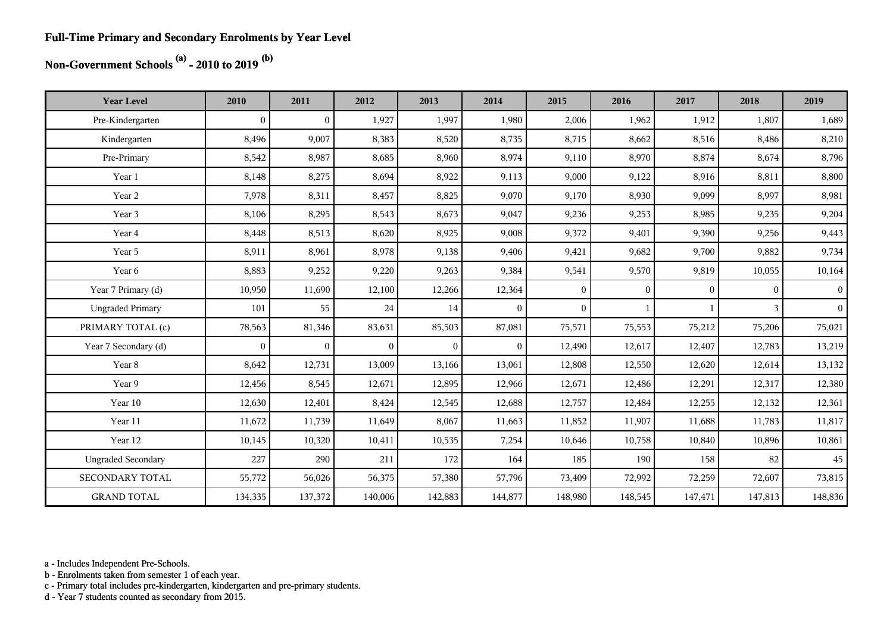#### **Full-Time Primary and Secondary Enrolments by Year Level**

## **Non-Government Schools (a) - 2010 to 2019 (b)**

| <b>Year Level</b>         | 2010             | 2011         | 2012           | 2013           | 2014         | 2015         | 2016     | 2017         | 2018         | 2019           |
|---------------------------|------------------|--------------|----------------|----------------|--------------|--------------|----------|--------------|--------------|----------------|
| Pre-Kindergarten          | $\boldsymbol{0}$ | $\mathbf{0}$ | 1,927          | 1,997          | 1,980        | 2,006        | 1,962    | 1,912        | 1,807        | 1,689          |
| Kindergarten              | 8,496            | 9,007        | 8,383          | 8,520          | 8,735        | 8,715        | 8,662    | 8,516        | 8,486        | 8,210          |
| Pre-Primary               | 8,542            | 8,987        | 8,685          | 8,960          | 8,974        | 9,110        | 8,970    | 8,874        | 8,674        | 8,796          |
| Year 1                    | 8,148            | 8,275        | 8,694          | 8,922          | 9,113        | 9,000        | 9,122    | 8,916        | 8,811        | 8,800          |
| Year 2                    | 7,978            | 8,311        | 8,457          | 8,825          | 9,070        | 9,170        | 8,930    | 9,099        | 8,997        | 8,981          |
| Year 3                    | 8,106            | 8,295        | 8,543          | 8,673          | 9,047        | 9,236        | 9,253    | 8,985        | 9,235        | 9,204          |
| Year 4                    | 8,448            | 8,513        | 8,620          | 8,925          | 9,008        | 9,372        | 9,401    | 9,390        | 9,256        | 9,443          |
| Year 5                    | 8,911            | 8,961        | 8,978          | 9,138          | 9,406        | 9,421        | 9,682    | 9,700        | 9,882        | 9,734          |
| Year 6                    | 8,883            | 9,252        | 9,220          | 9,263          | 9,384        | 9,541        | 9,570    | 9,819        | 10,055       | 10,164         |
| Year 7 Primary (d)        | 10,950           | 11,690       | 12,100         | 12,266         | 12,364       | $\mathbf{0}$ | $\Omega$ | $\mathbf{0}$ | $\mathbf{0}$ | $\vert$        |
| <b>Ungraded Primary</b>   | 101              | 55           | 24             | 14             | $\theta$     | $\theta$     |          |              | 3            | 0 <sup>1</sup> |
| PRIMARY TOTAL (c)         | 78,563           | 81,346       | 83,631         | 85,503         | 87,081       | 75,571       | 75,553   | 75,212       | 75,206       | 75,021         |
| Year 7 Secondary (d)      | $\mathbf{0}$     | $\bf{0}$     | $\overline{0}$ | $\overline{0}$ | $\mathbf{0}$ | 12,490       | 12,617   | 12,407       | 12,783       | 13,219         |
| Year 8                    | 8,642            | 12,731       | 13,009         | 13,166         | 13,061       | 12,808       | 12,550   | 12,620       | 12,614       | 13,132         |
| Year 9                    | 12,456           | 8,545        | 12,671         | 12,895         | 12,966       | 12,671       | 12,486   | 12,291       | 12,317       | 12,380         |
| Year 10                   | 12,630           | 12,401       | 8,424          | 12,545         | 12,688       | 12,757       | 12,484   | 12,255       | 12,132       | 12,361         |
| Year 11                   | 11,672           | 11,739       | 11,649         | 8,067          | 11,663       | 11,852       | 11,907   | 11,688       | 11,783       | 11,817         |
| Year 12                   | 10,145           | 10,320       | 10,411         | 10,535         | 7,254        | 10,646       | 10,758   | 10,840       | 10,896       | 10,861         |
| <b>Ungraded Secondary</b> | 227              | 290          | 211            | 172            | 164          | 185          | 190      | 158          | 82           | 45             |
| <b>SECONDARY TOTAL</b>    | 55,772           | 56,026       | 56,375         | 57,380         | 57,796       | 73,409       | 72,992   | 72,259       | 72,607       | 73,815         |
| <b>GRAND TOTAL</b>        | 134,335          | 137,372      | 140,006        | 142,883        | 144,877      | 148,980      | 148,545  | 147,471      | 147,813      | 148,836        |

a - Includes Independent Pre-Schools.

b - Enrolments taken from semester 1 of each year.

c - Primary total includes pre-kindergarten, kindergarten and pre-primary students.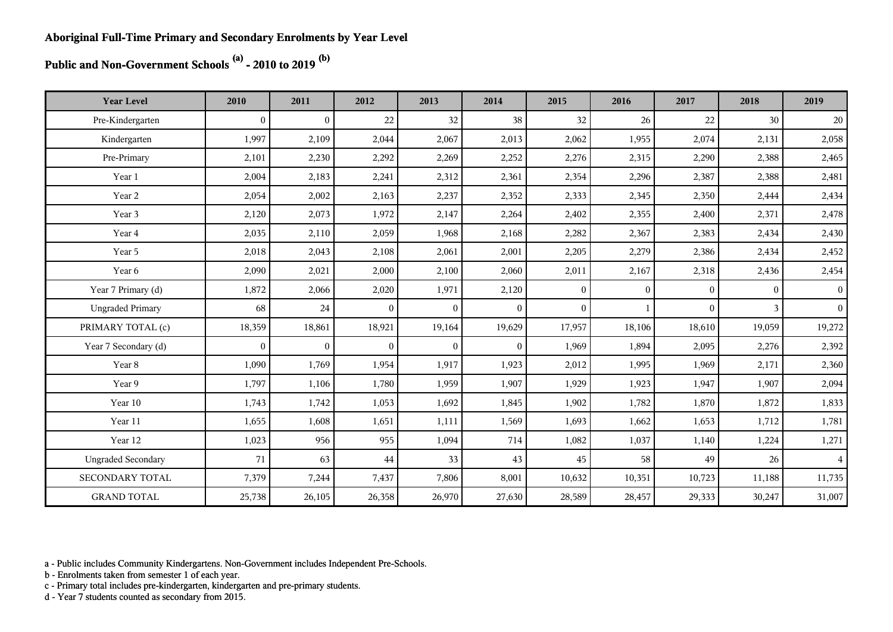**Public and Non-Government Schools (a) - 2010 to 2019 (b)**

| <b>Year Level</b>         | 2010         | 2011           | 2012           | 2013           | 2014           | 2015           | 2016         | 2017     | 2018     | 2019            |
|---------------------------|--------------|----------------|----------------|----------------|----------------|----------------|--------------|----------|----------|-----------------|
| Pre-Kindergarten          | $\mathbf{0}$ | $\overline{0}$ | 22             | 32             | 38             | 32             | 26           | 22       | 30       | 20              |
| Kindergarten              | 1,997        | 2,109          | 2,044          | 2,067          | 2,013          | 2,062          | 1,955        | 2,074    | 2,131    | 2,058           |
| Pre-Primary               | 2,101        | 2,230          | 2,292          | 2,269          | 2,252          | 2,276          | 2,315        | 2,290    | 2,388    | 2,465           |
| Year 1                    | 2,004        | 2,183          | 2,241          | 2,312          | 2,361          | 2,354          | 2,296        | 2,387    | 2,388    | 2,481           |
| Year 2                    | 2,054        | 2,002          | 2,163          | 2,237          | 2,352          | 2,333          | 2,345        | 2,350    | 2,444    | 2,434           |
| Year 3                    | 2,120        | 2,073          | 1,972          | 2,147          | 2,264          | 2,402          | 2,355        | 2,400    | 2,371    | 2,478           |
| Year 4                    | 2,035        | 2,110          | 2,059          | 1,968          | 2,168          | 2,282          | 2,367        | 2,383    | 2,434    | 2,430           |
| Year 5                    | 2,018        | 2,043          | 2,108          | 2,061          | 2,001          | 2,205          | 2,279        | 2,386    | 2,434    | 2,452           |
| Year 6                    | 2,090        | 2,021          | 2,000          | 2,100          | 2,060          | 2,011          | 2,167        | 2,318    | 2,436    | 2,454           |
| Year 7 Primary (d)        | 1,872        | 2,066          | 2,020          | 1,971          | 2,120          | $\overline{0}$ | $\mathbf{0}$ | $\theta$ | $\theta$ | $\vert 0 \vert$ |
| <b>Ungraded Primary</b>   | 68           | 24             | $\overline{0}$ | $\overline{0}$ | $\theta$       | $\theta$       |              | $\theta$ | 3        | $\vert 0 \vert$ |
| PRIMARY TOTAL (c)         | 18,359       | 18,861         | 18,921         | 19,164         | 19,629         | 17,957         | 18,106       | 18,610   | 19,059   | 19,272          |
| Year 7 Secondary (d)      | $\mathbf{0}$ | $\overline{0}$ | $\overline{0}$ | $\overline{0}$ | $\overline{0}$ | 1,969          | 1,894        | 2,095    | 2,276    | 2,392           |
| Year 8                    | 1,090        | 1,769          | 1,954          | 1,917          | 1,923          | 2,012          | 1,995        | 1,969    | 2,171    | 2,360           |
| Year 9                    | 1,797        | 1,106          | 1,780          | 1,959          | 1,907          | 1,929          | 1,923        | 1,947    | 1,907    | 2,094           |
| Year 10                   | 1,743        | 1,742          | 1,053          | 1,692          | 1,845          | 1,902          | 1,782        | 1,870    | 1,872    | 1,833           |
| Year 11                   | 1,655        | 1,608          | 1,651          | 1,111          | 1,569          | 1,693          | 1,662        | 1,653    | 1,712    | 1,781           |
| Year 12                   | 1,023        | 956            | 955            | 1,094          | 714            | 1,082          | 1,037        | 1,140    | 1,224    | 1,271           |
| <b>Ungraded Secondary</b> | 71           | 63             | 44             | 33             | 43             | 45             | 58           | 49       | 26       | $\overline{4}$  |
| SECONDARY TOTAL           | 7,379        | 7,244          | 7,437          | 7,806          | 8,001          | 10,632         | 10,351       | 10,723   | 11,188   | 11,735          |
| <b>GRAND TOTAL</b>        | 25,738       | 26,105         | 26,358         | 26,970         | 27,630         | 28,589         | 28,457       | 29,333   | 30,247   | 31,007          |

a - Public includes Community Kindergartens. Non-Government includes Independent Pre-Schools.

b - Enrolments taken from semester 1 of each year.

c - Primary total includes pre-kindergarten, kindergarten and pre-primary students.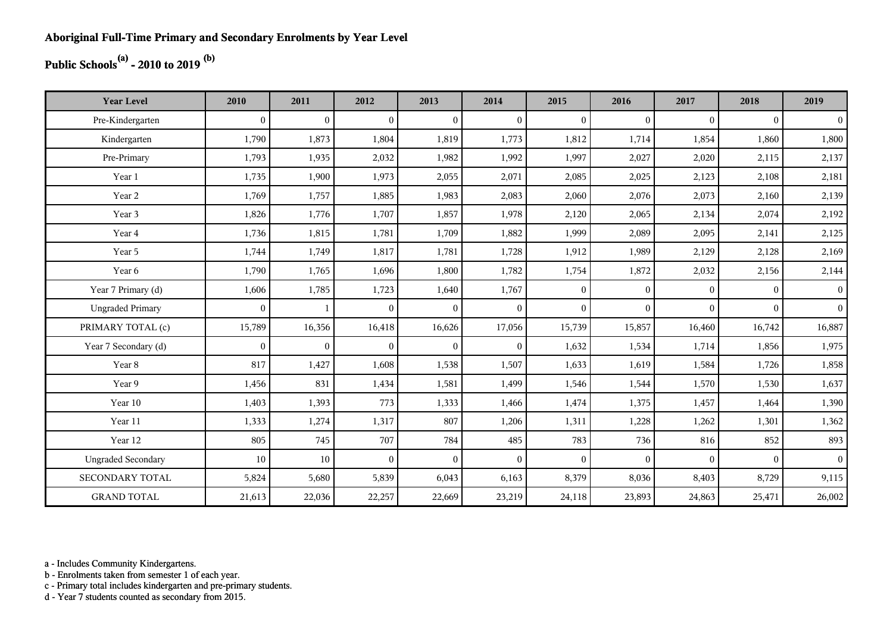## **Public Schools(a) - 2010 to 2019 (b)**

| <b>Year Level</b>         | 2010         | 2011           | 2012           | 2013         | 2014           | 2015           | 2016         | 2017     | 2018     | 2019           |
|---------------------------|--------------|----------------|----------------|--------------|----------------|----------------|--------------|----------|----------|----------------|
| Pre-Kindergarten          | $\mathbf{0}$ | $\overline{0}$ | $\overline{0}$ | $\Omega$     | $\mathbf{0}$   | $\theta$       | $\mathbf{0}$ | $\Omega$ | $\theta$ | $\overline{0}$ |
| Kindergarten              | 1,790        | 1,873          | 1,804          | 1,819        | 1,773          | 1,812          | 1,714        | 1,854    | 1,860    | 1,800          |
| Pre-Primary               | 1,793        | 1,935          | 2,032          | 1,982        | 1,992          | 1,997          | 2,027        | 2,020    | 2,115    | 2,137          |
| Year 1                    | 1,735        | 1,900          | 1,973          | 2,055        | 2,071          | 2,085          | 2,025        | 2,123    | 2,108    | 2,181          |
| Year 2                    | 1,769        | 1,757          | 1,885          | 1,983        | 2,083          | 2,060          | 2,076        | 2,073    | 2,160    | 2,139          |
| Year 3                    | 1,826        | 1,776          | 1,707          | 1,857        | 1,978          | 2,120          | 2,065        | 2,134    | 2,074    | 2,192          |
| Year 4                    | 1,736        | 1,815          | 1,781          | 1,709        | 1,882          | 1,999          | 2,089        | 2,095    | 2,141    | 2,125          |
| Year 5                    | 1,744        | 1,749          | 1,817          | 1,781        | 1,728          | 1,912          | 1,989        | 2,129    | 2,128    | 2,169          |
| Year 6                    | 1,790        | 1,765          | 1,696          | 1,800        | 1,782          | 1,754          | 1,872        | 2,032    | 2,156    | 2,144          |
| Year 7 Primary (d)        | 1,606        | 1,785          | 1,723          | 1,640        | 1,767          | $\overline{0}$ | $\mathbf{0}$ | $\Omega$ | $\Omega$ | 0 <sup>1</sup> |
| <b>Ungraded Primary</b>   | $\mathbf{0}$ |                | $\overline{0}$ | $\mathbf{0}$ | $\overline{0}$ | $\mathbf{0}$   | $\mathbf{0}$ | $\Omega$ | $\Omega$ | 0 <sup>1</sup> |
| PRIMARY TOTAL (c)         | 15,789       | 16,356         | 16,418         | 16,626       | 17,056         | 15,739         | 15,857       | 16,460   | 16,742   | 16,887         |
| Year 7 Secondary (d)      | $\mathbf{0}$ | $\mathbf{0}$   | $\overline{0}$ | $\mathbf{0}$ | $\overline{0}$ | 1,632          | 1,534        | 1,714    | 1,856    | 1,975          |
| Year 8                    | 817          | 1,427          | 1,608          | 1,538        | 1,507          | 1,633          | 1,619        | 1,584    | 1,726    | 1,858          |
| Year 9                    | 1,456        | 831            | 1,434          | 1,581        | 1,499          | 1,546          | 1,544        | 1,570    | 1,530    | 1,637          |
| Year 10                   | 1,403        | 1,393          | 773            | 1,333        | 1,466          | 1,474          | 1,375        | 1,457    | 1,464    | 1,390          |
| Year 11                   | 1,333        | 1,274          | 1,317          | 807          | 1,206          | 1,311          | 1,228        | 1,262    | 1,301    | 1,362          |
| Year 12                   | 805          | 745            | 707            | 784          | 485            | 783            | 736          | 816      | 852      | 893            |
| <b>Ungraded Secondary</b> | 10           | 10             | $\overline{0}$ | $\Omega$     | $\mathbf{0}$   | $\theta$       | $\mathbf{0}$ | $\Omega$ | $\theta$ | 0 <sup>1</sup> |
| <b>SECONDARY TOTAL</b>    | 5,824        | 5,680          | 5,839          | 6,043        | 6,163          | 8,379          | 8,036        | 8,403    | 8,729    | 9,115          |
| <b>GRAND TOTAL</b>        | 21,613       | 22,036         | 22,257         | 22,669       | 23,219         | 24,118         | 23,893       | 24,863   | 25,471   | 26,002         |

a - Includes Community Kindergartens.

b - Enrolments taken from semester 1 of each year.

c - Primary total includes kindergarten and pre-primary students.